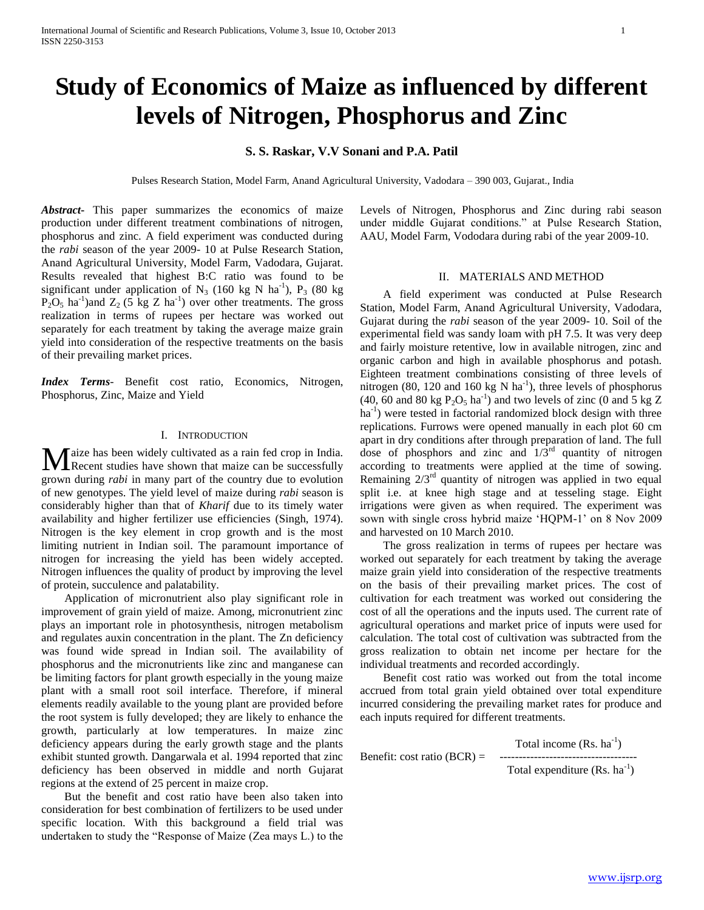# **Study of Economics of Maize as influenced by different levels of Nitrogen, Phosphorus and Zinc**

**S. S. Raskar, V.V Sonani and P.A. Patil**

Pulses Research Station, Model Farm, Anand Agricultural University, Vadodara – 390 003, Gujarat., India

*Abstract***-** This paper summarizes the economics of maize production under different treatment combinations of nitrogen, phosphorus and zinc. A field experiment was conducted during the *rabi* season of the year 2009- 10 at Pulse Research Station, Anand Agricultural University, Model Farm, Vadodara, Gujarat. Results revealed that highest B:C ratio was found to be significant under application of  $N_3$  (160 kg N ha<sup>-1</sup>),  $P_3$  (80 kg  $P_2O_5$  ha<sup>-1</sup>) and  $Z_2$  (5 kg Z ha<sup>-1</sup>) over other treatments. The gross realization in terms of rupees per hectare was worked out separately for each treatment by taking the average maize grain yield into consideration of the respective treatments on the basis of their prevailing market prices.

*Index Terms*- Benefit cost ratio, Economics, Nitrogen, Phosphorus, Zinc, Maize and Yield

# I. INTRODUCTION

aize has been widely cultivated as a rain fed crop in India. **Recent studies have shown that maize can be successfully M** aize has been widely cultivated as a rain fed crop in India.<br>
grown during *rabi* in many part of the country due to evolution of new genotypes. The yield level of maize during *rabi* season is considerably higher than that of *Kharif* due to its timely water availability and higher fertilizer use efficiencies (Singh, 1974). Nitrogen is the key element in crop growth and is the most limiting nutrient in Indian soil. The paramount importance of nitrogen for increasing the yield has been widely accepted. Nitrogen influences the quality of product by improving the level of protein, succulence and palatability.

 Application of micronutrient also play significant role in improvement of grain yield of maize. Among, micronutrient zinc plays an important role in photosynthesis, nitrogen metabolism and regulates auxin concentration in the plant. The Zn deficiency was found wide spread in Indian soil. The availability of phosphorus and the micronutrients like zinc and manganese can be limiting factors for plant growth especially in the young maize plant with a small root soil interface. Therefore, if mineral elements readily available to the young plant are provided before the root system is fully developed; they are likely to enhance the growth, particularly at low temperatures. In maize zinc deficiency appears during the early growth stage and the plants exhibit stunted growth. Dangarwala et al. 1994 reported that zinc deficiency has been observed in middle and north Gujarat regions at the extend of 25 percent in maize crop.

 But the benefit and cost ratio have been also taken into consideration for best combination of fertilizers to be used under specific location. With this background a field trial was undertaken to study the "Response of Maize (Zea mays L.) to the Levels of Nitrogen, Phosphorus and Zinc during rabi season under middle Gujarat conditions." at Pulse Research Station, AAU, Model Farm, Vododara during rabi of the year 2009-10.

#### II. MATERIALS AND METHOD

 A field experiment was conducted at Pulse Research Station, Model Farm, Anand Agricultural University, Vadodara, Gujarat during the *rabi* season of the year 2009- 10. Soil of the experimental field was sandy loam with pH 7.5. It was very deep and fairly moisture retentive, low in available nitrogen, zinc and organic carbon and high in available phosphorus and potash. Eighteen treatment combinations consisting of three levels of nitrogen (80, 120 and 160 kg N  $\text{ha}^{-1}$ ), three levels of phosphorus (40, 60 and 80 kg  $P_2O_5$  ha<sup>-1</sup>) and two levels of zinc (0 and 5 kg Z ha<sup>-1</sup>) were tested in factorial randomized block design with three replications. Furrows were opened manually in each plot 60 cm apart in dry conditions after through preparation of land. The full dose of phosphors and zinc and  $1/3<sup>rd</sup>$  quantity of nitrogen according to treatments were applied at the time of sowing. Remaining  $2/3<sup>rd</sup>$  quantity of nitrogen was applied in two equal split i.e. at knee high stage and at tesseling stage. Eight irrigations were given as when required. The experiment was sown with single cross hybrid maize 'HQPM-1' on 8 Nov 2009 and harvested on 10 March 2010.

 The gross realization in terms of rupees per hectare was worked out separately for each treatment by taking the average maize grain yield into consideration of the respective treatments on the basis of their prevailing market prices. The cost of cultivation for each treatment was worked out considering the cost of all the operations and the inputs used. The current rate of agricultural operations and market price of inputs were used for calculation. The total cost of cultivation was subtracted from the gross realization to obtain net income per hectare for the individual treatments and recorded accordingly.

 Benefit cost ratio was worked out from the total income accrued from total grain yield obtained over total expenditure incurred considering the prevailing market rates for produce and each inputs required for different treatments.

Total income  $(Rs. ha^{-1})$ Benefit: cost ratio (BCR) = ------------------------------------

Total expenditure  $(Rs. ha^{-1})$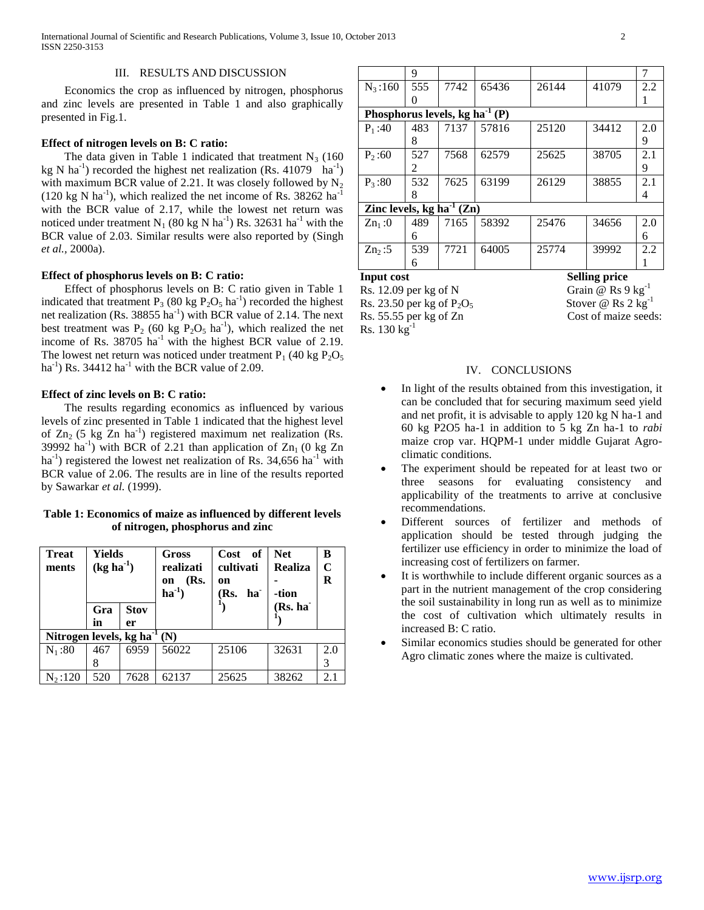# III. RESULTS AND DISCUSSION

 Economics the crop as influenced by nitrogen, phosphorus and zinc levels are presented in Table 1 and also graphically presented in Fig.1.

#### **Effect of nitrogen levels on B: C ratio:**

The data given in Table 1 indicated that treatment  $N_3$  (160) kg N ha<sup>-1</sup>) recorded the highest net realization (Rs. 41079 ha<sup>-1</sup>) with maximum BCR value of 2.21. It was closely followed by  $N_2$  $(120 \text{ kg N} \text{ ha}^{-1})$ , which realized the net income of Rs. 38262 ha<sup>-1</sup> with the BCR value of 2.17, while the lowest net return was noticed under treatment N<sub>1</sub> (80 kg N ha<sup>-1</sup>) Rs. 32631 ha<sup>-1</sup> with the BCR value of 2.03. Similar results were also reported by (Singh *et al.,* 2000a).

## **Effect of phosphorus levels on B: C ratio:**

 Effect of phosphorus levels on B: C ratio given in Table 1 indicated that treatment  $P_3$  (80 kg  $P_2O_5$  ha<sup>-1</sup>) recorded the highest net realization (Rs. 38855 ha<sup>-1</sup>) with BCR value of 2.14. The next best treatment was  $P_2$  (60 kg  $P_2O_5$  ha<sup>-1</sup>), which realized the net income of Rs.  $38705$  ha<sup>-1</sup> with the highest BCR value of 2.19. The lowest net return was noticed under treatment  $P_1$  (40 kg  $P_2O_5$ ) ha<sup>-1</sup>) Rs. 34412 ha<sup>-1</sup> with the BCR value of 2.09.

## **Effect of zinc levels on B: C ratio:**

 The results regarding economics as influenced by various levels of zinc presented in Table 1 indicated that the highest level of  $Zn_2$  (5 kg  $Zn$  ha<sup>-1</sup>) registered maximum net realization (Rs. 39992 ha<sup>-1</sup>) with BCR of 2.21 than application of  $Zn_1$  (0 kg  $Zn$  $ha^{-1}$ ) registered the lowest net realization of Rs. 34,656  $ha^{-1}$  with BCR value of 2.06. The results are in line of the results reported by Sawarkar *et al.* (1999).

# **Table 1: Economics of maize as influenced by different levels of nitrogen, phosphorus and zinc**

| <b>Treat</b><br>ments              | Yields<br>$(kg ha-1)$ |                   | Gross<br>realizati<br>(Rs.<br>on<br>$ha^{-1}$ | Cost<br>- of<br>cultivati<br>on<br>(Rs.<br>ha <sup>-</sup> | <b>Net</b><br><b>Realiza</b><br>-tion | B<br>C<br>R |  |  |  |  |  |
|------------------------------------|-----------------------|-------------------|-----------------------------------------------|------------------------------------------------------------|---------------------------------------|-------------|--|--|--|--|--|
|                                    | Gra<br>in             | <b>Stov</b><br>er |                                               |                                                            | (Rs. ha                               |             |  |  |  |  |  |
| Nitrogen levels, kg ha $^{-1}$ (N) |                       |                   |                                               |                                                            |                                       |             |  |  |  |  |  |
| $N_1:80$                           | 467<br>8              | 6959              | 56022                                         | 25106                                                      | 32631                                 | 2.0<br>3    |  |  |  |  |  |
| $N_2:120$                          | 520                   | 7628              | 62137                                         | 25625                                                      | 38262                                 | 2.1         |  |  |  |  |  |

|                                      | 9   |      |       |       |       | 7   |  |  |  |  |
|--------------------------------------|-----|------|-------|-------|-------|-----|--|--|--|--|
| $N_3:160$                            | 555 | 7742 | 65436 | 26144 | 41079 | 2.2 |  |  |  |  |
|                                      |     |      |       |       |       |     |  |  |  |  |
| Phosphorus levels, kg ha $^{-1}$ (P) |     |      |       |       |       |     |  |  |  |  |
| $P_1:40$                             | 483 | 7137 | 57816 | 25120 | 34412 | 2.0 |  |  |  |  |
|                                      | 8   |      |       |       |       | 9   |  |  |  |  |
| $P_2:60$                             | 527 | 7568 | 62579 | 25625 | 38705 | 2.1 |  |  |  |  |
|                                      | 2   |      |       |       |       | 9   |  |  |  |  |
| $P_3:80$                             | 532 | 7625 | 63199 | 26129 | 38855 | 2.1 |  |  |  |  |
|                                      | 8   |      |       |       |       | 4   |  |  |  |  |
| Zinc levels, $kg ha^{-1}(Zn)$        |     |      |       |       |       |     |  |  |  |  |
| $Zn_1:0$                             | 489 | 7165 | 58392 | 25476 | 34656 | 2.0 |  |  |  |  |
|                                      | 6   |      |       |       |       | 6   |  |  |  |  |
| Zn <sub>2</sub> :5                   | 539 | 7721 | 64005 | 25774 | 39992 | 2.2 |  |  |  |  |
|                                      | 6   |      |       |       |       |     |  |  |  |  |

**Input cost** Selling price Rs. 12.09 per kg of N Grain  $\overline{\omega}$  Rs 9 kg<sup>-1</sup> Rs. 23.50 per kg of  $P_2O_5$ <br>
Rs. 55.55 per kg of Zn<br>
Cost of maize seeds: Rs. 55.55 per kg of Zn  $Rs. 130 kg^{-1}$ 

Stover @  $\text{Rs } 2 \text{ kg}^{-1}$ 

#### IV. CONCLUSIONS

- In light of the results obtained from this investigation, it can be concluded that for securing maximum seed yield and net profit, it is advisable to apply 120 kg N ha-1 and 60 kg P2O5 ha-1 in addition to 5 kg Zn ha-1 to *rabi* maize crop var. HQPM-1 under middle Gujarat Agroclimatic conditions.
- The experiment should be repeated for at least two or three seasons for evaluating consistency and applicability of the treatments to arrive at conclusive recommendations.
- Different sources of fertilizer and methods of application should be tested through judging the fertilizer use efficiency in order to minimize the load of increasing cost of fertilizers on farmer.
- It is worthwhile to include different organic sources as a part in the nutrient management of the crop considering the soil sustainability in long run as well as to minimize the cost of cultivation which ultimately results in increased B: C ratio.
- Similar economics studies should be generated for other Agro climatic zones where the maize is cultivated.